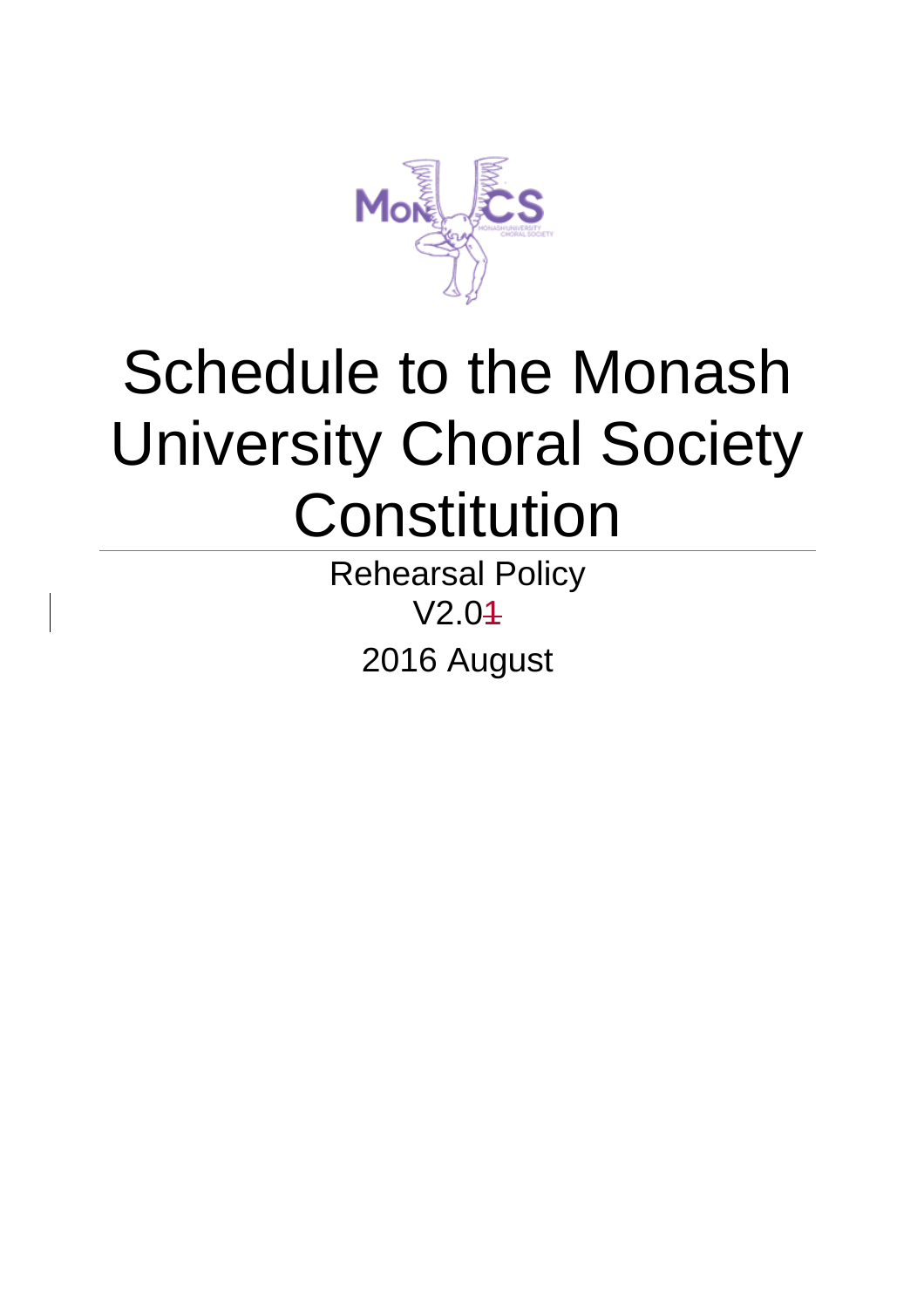

# Schedule to the Monash University Choral Society **Constitution**

Rehearsal Policy V2.01 2016 August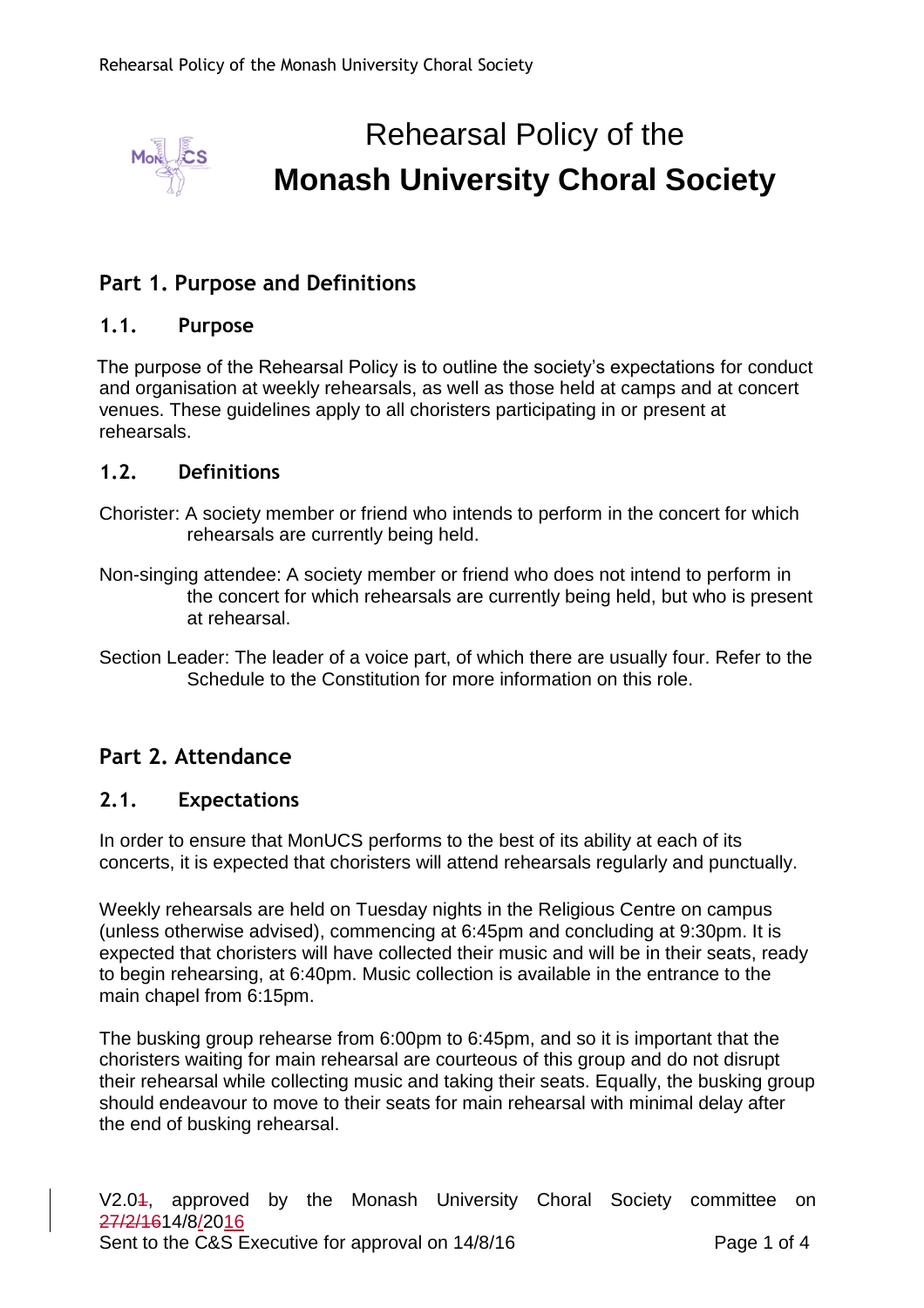

# Rehearsal Policy of the **Monash University Choral Society**

# **Part 1. Purpose and Definitions**

#### **1.1. Purpose**

The purpose of the Rehearsal Policy is to outline the society's expectations for conduct and organisation at weekly rehearsals, as well as those held at camps and at concert venues. These guidelines apply to all choristers participating in or present at rehearsals.

#### **1.2. Definitions**

- Chorister: A society member or friend who intends to perform in the concert for which rehearsals are currently being held.
- Non-singing attendee: A society member or friend who does not intend to perform in the concert for which rehearsals are currently being held, but who is present at rehearsal.
- Section Leader: The leader of a voice part, of which there are usually four. Refer to the Schedule to the Constitution for more information on this role.

# **Part 2. Attendance**

#### **2.1. Expectations**

In order to ensure that MonUCS performs to the best of its ability at each of its concerts, it is expected that choristers will attend rehearsals regularly and punctually.

Weekly rehearsals are held on Tuesday nights in the Religious Centre on campus (unless otherwise advised), commencing at 6:45pm and concluding at 9:30pm. It is expected that choristers will have collected their music and will be in their seats, ready to begin rehearsing, at 6:40pm. Music collection is available in the entrance to the main chapel from 6:15pm.

The busking group rehearse from 6:00pm to 6:45pm, and so it is important that the choristers waiting for main rehearsal are courteous of this group and do not disrupt their rehearsal while collecting music and taking their seats. Equally, the busking group should endeavour to move to their seats for main rehearsal with minimal delay after the end of busking rehearsal.

V2.04, approved by the Monash University Choral Society committee on 27/2/1614/8/2016 Sent to the C&S Executive for approval on 14/8/16 Page 1 of 4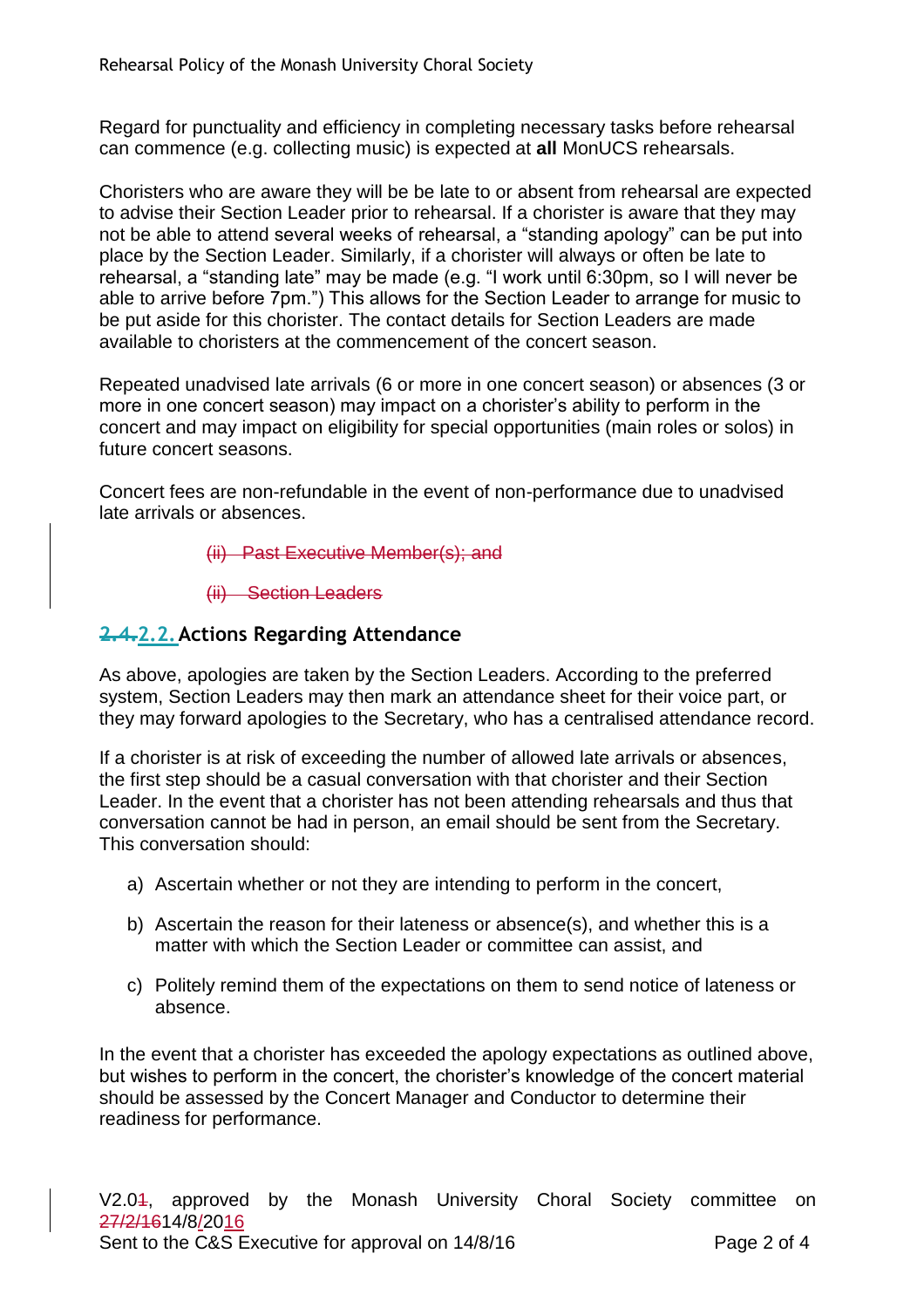Regard for punctuality and efficiency in completing necessary tasks before rehearsal can commence (e.g. collecting music) is expected at **all** MonUCS rehearsals.

Choristers who are aware they will be be late to or absent from rehearsal are expected to advise their Section Leader prior to rehearsal. If a chorister is aware that they may not be able to attend several weeks of rehearsal, a "standing apology" can be put into place by the Section Leader. Similarly, if a chorister will always or often be late to rehearsal, a "standing late" may be made (e.g. "I work until 6:30pm, so I will never be able to arrive before 7pm.") This allows for the Section Leader to arrange for music to be put aside for this chorister. The contact details for Section Leaders are made available to choristers at the commencement of the concert season.

Repeated unadvised late arrivals (6 or more in one concert season) or absences (3 or more in one concert season) may impact on a chorister's ability to perform in the concert and may impact on eligibility for special opportunities (main roles or solos) in future concert seasons.

Concert fees are non-refundable in the event of non-performance due to unadvised late arrivals or absences.

- (ii) Past Executive Member(s); and
- (ii) Section Leaders

#### **2.4.2.2.Actions Regarding Attendance**

As above, apologies are taken by the Section Leaders. According to the preferred system, Section Leaders may then mark an attendance sheet for their voice part, or they may forward apologies to the Secretary, who has a centralised attendance record.

If a chorister is at risk of exceeding the number of allowed late arrivals or absences, the first step should be a casual conversation with that chorister and their Section Leader. In the event that a chorister has not been attending rehearsals and thus that conversation cannot be had in person, an email should be sent from the Secretary. This conversation should:

- a) Ascertain whether or not they are intending to perform in the concert,
- b) Ascertain the reason for their lateness or absence(s), and whether this is a matter with which the Section Leader or committee can assist, and
- c) Politely remind them of the expectations on them to send notice of lateness or absence.

In the event that a chorister has exceeded the apology expectations as outlined above, but wishes to perform in the concert, the chorister's knowledge of the concert material should be assessed by the Concert Manager and Conductor to determine their readiness for performance.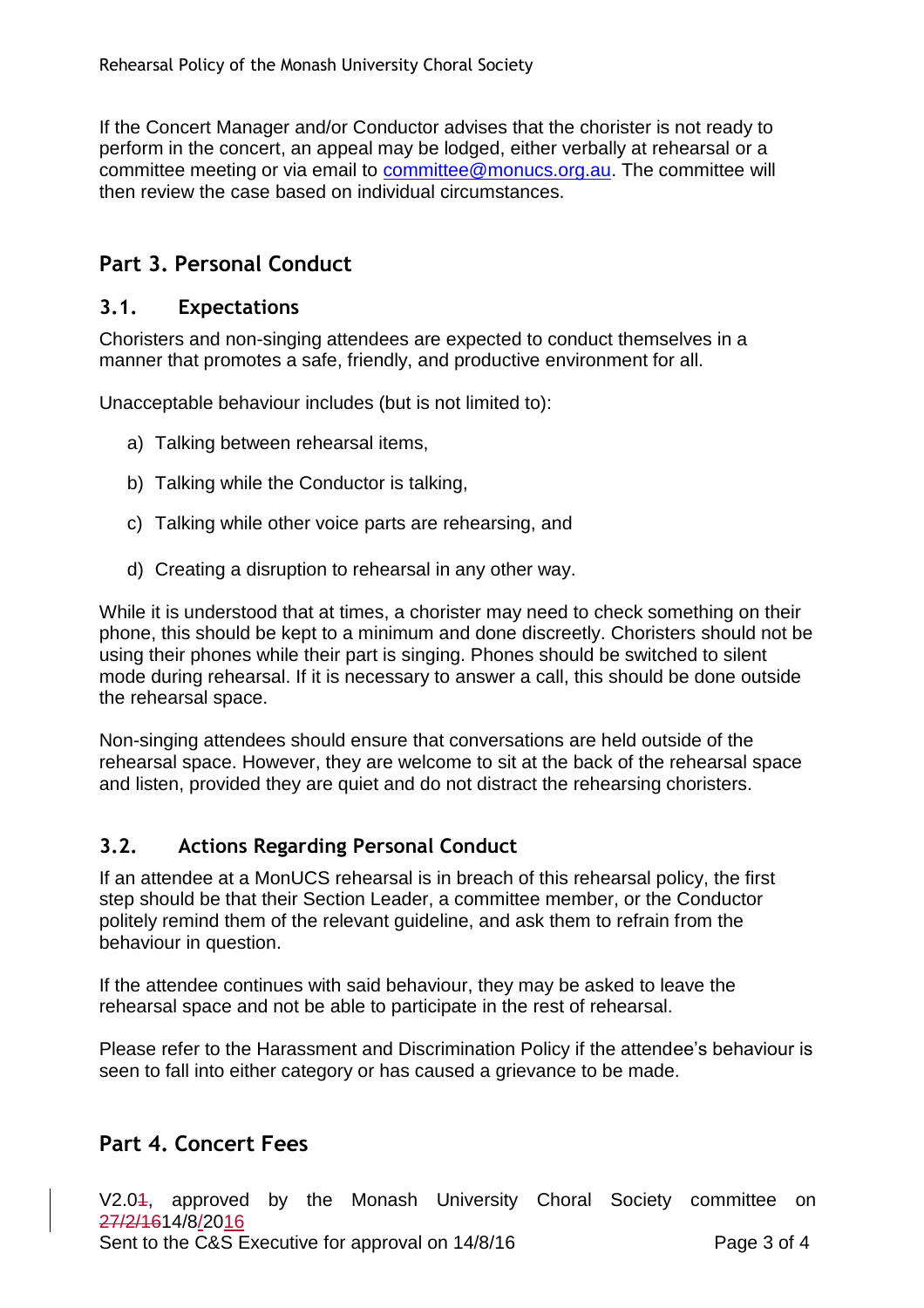If the Concert Manager and/or Conductor advises that the chorister is not ready to perform in the concert, an appeal may be lodged, either verbally at rehearsal or a committee meeting or via email to [committee@monucs.org.au.](mailto:committee@monucs.org.au) The committee will then review the case based on individual circumstances.

# **Part 3. Personal Conduct**

#### **3.1. Expectations**

Choristers and non-singing attendees are expected to conduct themselves in a manner that promotes a safe, friendly, and productive environment for all.

Unacceptable behaviour includes (but is not limited to):

- a) Talking between rehearsal items,
- b) Talking while the Conductor is talking,
- c) Talking while other voice parts are rehearsing, and
- d) Creating a disruption to rehearsal in any other way.

While it is understood that at times, a chorister may need to check something on their phone, this should be kept to a minimum and done discreetly. Choristers should not be using their phones while their part is singing. Phones should be switched to silent mode during rehearsal. If it is necessary to answer a call, this should be done outside the rehearsal space.

Non-singing attendees should ensure that conversations are held outside of the rehearsal space. However, they are welcome to sit at the back of the rehearsal space and listen, provided they are quiet and do not distract the rehearsing choristers.

# **3.2. Actions Regarding Personal Conduct**

If an attendee at a MonUCS rehearsal is in breach of this rehearsal policy, the first step should be that their Section Leader, a committee member, or the Conductor politely remind them of the relevant guideline, and ask them to refrain from the behaviour in question.

If the attendee continues with said behaviour, they may be asked to leave the rehearsal space and not be able to participate in the rest of rehearsal.

Please refer to the Harassment and Discrimination Policy if the attendee's behaviour is seen to fall into either category or has caused a grievance to be made.

# **Part 4. Concert Fees**

V2.04, approved by the Monash University Choral Society committee on 27/2/1614/8/2016 Sent to the C&S Executive for approval on 14/8/16 Page 3 of 4